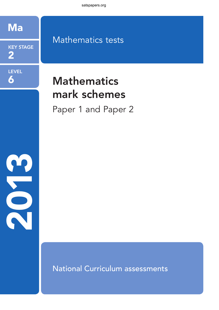

KEY STAGE 2

# LEVEL 6

20

# Mathematics tests

# **Mathematics** mark schemes

Paper 1 and Paper 2

National Curriculum assessments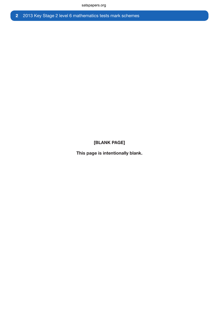[BLANK PAGE]

This page is intentionally blank.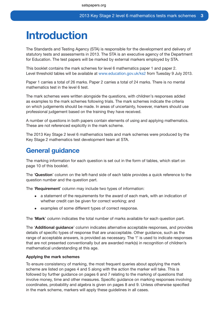# Introduction

The Standards and Testing Agency (STA) is responsible for the development and delivery of statutory tests and assessments in 2013. The STA is an executive agency of the Department for Education. The test papers will be marked by external markers employed by STA.

This booklet contains the mark schemes for level 6 mathematics paper 1 and paper 2. Level threshold tables will be available at www.education.gov.uk/ks2 from Tuesday 9 July 2013.

Paper 1 carries a total of 26 marks. Paper 2 carries a total of 24 marks. There is no mental mathematics test in the level 6 test.

The mark schemes were written alongside the questions, with children's responses added as examples to the mark schemes following trials. The mark schemes indicate the criteria on which judgements should be made. In areas of uncertainty, however, markers should use professional judgement based on the training they have received.

A number of questions in both papers contain elements of using and applying mathematics. These are not referenced explicitly in the mark scheme.

The 2013 Key Stage 2 level 6 mathematics tests and mark schemes were produced by the Key Stage 2 mathematics test development team at STA.

## General guidance

The marking information for each question is set out in the form of tables, which start on page 10 of this booklet.

The 'Question' column on the left-hand side of each table provides a quick reference to the question number and the question part.

The 'Requirement' column may include two types of information:

- a statement of the requirements for the award of each mark, with an indication of whether credit can be given for correct working; and
- examples of some different types of correct response.

The 'Mark' column indicates the total number of marks available for each question part.

The 'Additional guidance' column indicates alternative acceptable responses, and provides details of specific types of response that are unacceptable. Other guidance, such as the range of acceptable answers, is provided as necessary. The '!' is used to indicate responses that are not presented conventionally but are awarded mark(s) in recognition of children's mathematical understanding at this age.

#### Applying the mark schemes

To ensure consistency of marking, the most frequent queries about applying the mark scheme are listed on pages 4 and 5 along with the action the marker will take. This is followed by further guidance on pages 6 and 7 relating to the marking of questions that involve money, time and other measures. Specific guidance on marking responses involving coordinates, probability and algebra is given on pages 8 and 9. Unless otherwise specified in the mark scheme, markers will apply these guidelines in all cases.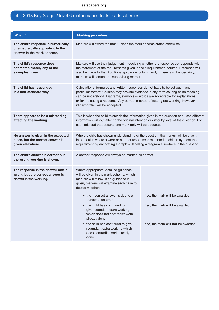### satspapers.org

## 4 2013 Key Stage 2 level 6 mathematics tests mark schemes

| What if                                                                                                 | <b>Marking procedure</b>                                                                                                                                                                                                                                                                                                                                                                                                                                                                                                                                                                               |  |  |
|---------------------------------------------------------------------------------------------------------|--------------------------------------------------------------------------------------------------------------------------------------------------------------------------------------------------------------------------------------------------------------------------------------------------------------------------------------------------------------------------------------------------------------------------------------------------------------------------------------------------------------------------------------------------------------------------------------------------------|--|--|
| The child's response is numerically<br>or algebraically equivalent to the<br>answer in the mark scheme. | Markers will award the mark unless the mark scheme states otherwise.                                                                                                                                                                                                                                                                                                                                                                                                                                                                                                                                   |  |  |
| The child's response does<br>not match closely any of the<br>examples given.                            | Markers will use their judgement in deciding whether the response corresponds with<br>the statement of the requirements given in the 'Requirement' column. Reference will<br>also be made to the 'Additional guidance' column and, if there is still uncertainty,<br>markers will contact the supervising marker.                                                                                                                                                                                                                                                                                      |  |  |
| The child has responded<br>in a non-standard way.                                                       | Calculations, formulae and written responses do not have to be set out in any<br>particular format. Children may provide evidence in any form as long as its meaning<br>can be understood. Diagrams, symbols or words are acceptable for explanations<br>or for indicating a response. Any correct method of setting out working, however<br>idiosyncratic, will be accepted.                                                                                                                                                                                                                          |  |  |
| There appears to be a misreading<br>affecting the working.                                              | This is when the child misreads the information given in the question and uses different<br>information without altering the original intention or difficulty level of the question. For<br>each misread that occurs, one mark only will be deducted.                                                                                                                                                                                                                                                                                                                                                  |  |  |
| No answer is given in the expected<br>place, but the correct answer is<br>given elsewhere.              | Where a child has shown understanding of the question, the mark(s) will be given.<br>In particular, where a word or number response is expected, a child may meet the<br>requirement by annotating a graph or labelling a diagram elsewhere in the question.                                                                                                                                                                                                                                                                                                                                           |  |  |
| The child's answer is correct but<br>the wrong working is shown.                                        | A correct response will always be marked as correct.                                                                                                                                                                                                                                                                                                                                                                                                                                                                                                                                                   |  |  |
| The response in the answer box is<br>wrong but the correct answer is<br>shown in the working.           | Where appropriate, detailed guidance<br>will be given in the mark scheme, which<br>markers will follow. If no guidance is<br>given, markers will examine each case to<br>decide whether:<br>• the incorrect answer is due to a<br>If so, the mark will be awarded.<br>transcription error<br>• the child has continued to<br>If so, the mark will be awarded.<br>give redundant extra working<br>which does not contradict work<br>already done<br>• the child has continued to give<br>If so, the mark will not be awarded.<br>redundant extra working which<br>does contradict work already<br>done. |  |  |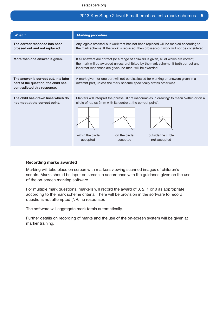| What if                                                                                                     | <b>Marking procedure</b>                                                                                                                                                                                                                                      |  |  |  |
|-------------------------------------------------------------------------------------------------------------|---------------------------------------------------------------------------------------------------------------------------------------------------------------------------------------------------------------------------------------------------------------|--|--|--|
| The correct response has been<br>crossed out and not replaced.                                              | Any legible crossed-out work that has not been replaced will be marked according to<br>the mark scheme. If the work is replaced, then crossed-out work will not be considered.                                                                                |  |  |  |
| More than one answer is given.                                                                              | If all answers are correct (or a range of answers is given, all of which are correct),<br>the mark will be awarded unless prohibited by the mark scheme. If both correct and<br>incorrect responses are given, no mark will be awarded.                       |  |  |  |
| The answer is correct but, in a later<br>part of the question, the child has<br>contradicted this response. | A mark given for one part will not be disallowed for working or answers given in a<br>different part, unless the mark scheme specifically states otherwise.                                                                                                   |  |  |  |
| The child has drawn lines which do<br>not meet at the correct point.                                        | Markers will interpret the phrase 'slight inaccuracies in drawing' to mean 'within or on a<br>circle of radius 2mm with its centre at the correct point'.<br>within the circle<br>on the circle<br>outside the circle<br>accepted<br>accepted<br>not accepted |  |  |  |

#### Recording marks awarded

Marking will take place on screen with markers viewing scanned images of children's scripts. Marks should be input on screen in accordance with the guidance given on the use of the on-screen marking software.

For multiple mark questions, markers will record the award of 3, 2, 1 or 0 as appropriate according to the mark scheme criteria. There will be provision in the software to record questions not attempted (NR: no response).

The software will aggregate mark totals automatically.

Further details on recording of marks and the use of the on-screen system will be given at marker training.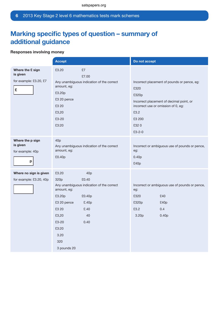# Marking specific types of question – summary of additional guidance

### Responses involving money

|                                                             | <b>Accept</b>                                                                                                                                                                                                                             | Do not accept                                                                                                                                                                             |  |
|-------------------------------------------------------------|-------------------------------------------------------------------------------------------------------------------------------------------------------------------------------------------------------------------------------------------|-------------------------------------------------------------------------------------------------------------------------------------------------------------------------------------------|--|
| Where the £ sign<br>is given<br>for example: £3.20, £7<br>£ | £3.20<br>£7<br>£7.00<br>Any unambiguous indication of the correct<br>amount, eg:<br>£3.20p<br>£3 20 pence<br>£3 20<br>£3,20<br>£3-20<br>£3:20                                                                                             | Incorrect placement of pounds or pence, eg:<br>£320<br>£320p<br>Incorrect placement of decimal point, or<br>incorrect use or omission of 0, eg:<br>£3.2<br>£3 200<br>£320<br>$£3 - 2 - 0$ |  |
| Where the p sign<br>is given<br>for example: 40p<br>p       | 40 <sub>p</sub><br>Any unambiguous indication of the correct<br>amount, eg:<br>£0.40p                                                                                                                                                     | Incorrect or ambiguous use of pounds or pence,<br>eg:<br>0.40 <sub>p</sub><br>£40p                                                                                                        |  |
| Where no sign is given<br>for example: £3.20, 40p           | £3.20<br>40 <sub>p</sub><br>320p<br>£0.40<br>Any unambiguous indication of the correct<br>amount, eg:<br>£3.20p<br>£0.40p<br>£3 20 pence<br>£.40p<br>£3 20<br>£.40<br>£3,20<br>40<br>£3-20<br>0.40<br>£3:20<br>3.20<br>320<br>3 pounds 20 | Incorrect or ambiguous use of pounds or pence,<br>eg:<br>£320<br>£40<br>£320p<br>£40p<br>£3.2<br>0.4<br>0.40 <sub>p</sub><br>3.20p                                                        |  |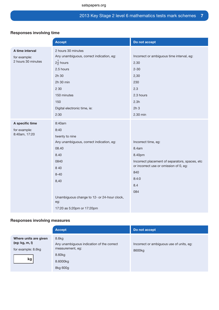## Responses involving time

|                    | <b>Accept</b>                               | Do not accept                                  |
|--------------------|---------------------------------------------|------------------------------------------------|
| A time interval    | 2 hours 30 minutes                          |                                                |
| for example:       | Any unambiguous, correct indication, eg:    | Incorrect or ambiguous time interval, eg:      |
| 2 hours 30 minutes | $2\frac{1}{2}$ hours                        | 2.30                                           |
|                    | 2.5 hours                                   | $2 - 30$                                       |
|                    | 2h 30                                       | 2,30                                           |
|                    | 2h 30 min                                   | 230                                            |
|                    | 2 3 0                                       | 2.3                                            |
|                    | 150 minutes                                 | 2.3 hours                                      |
|                    | 150                                         | 2.3h                                           |
|                    | Digital electronic time, ie:                | 2h <sub>3</sub>                                |
|                    | 2:30                                        | 2.30 min                                       |
| A specific time    | 8:40am                                      |                                                |
| for example:       | 8:40                                        |                                                |
| 8:40am, 17:20      | twenty to nine                              |                                                |
|                    | Any unambiguous, correct indication, eg:    | Incorrect time, eg:                            |
|                    | 08.40                                       | 8.4am                                          |
|                    | 8.40                                        | 8.40pm                                         |
|                    | 0840                                        | Incorrect placement of separators, spaces, etc |
|                    | 8 4 0                                       | or incorrect use or omission of 0, eg:         |
|                    | $8 - 40$                                    | 840                                            |
|                    | 8,40                                        | 8:4:0                                          |
|                    |                                             | 8.4                                            |
|                    | Unambiguous change to 12- or 24-hour clock, | 084                                            |
|                    | eg:                                         |                                                |
|                    | 17:20 as 5:20pm or 17:20pm                  |                                                |

### Responses involving measures

|                                                                     | Accept,                                                                                                              | Do not accept                                      |
|---------------------------------------------------------------------|----------------------------------------------------------------------------------------------------------------------|----------------------------------------------------|
| Where units are given<br>(eg: kg, m, l)<br>for example: 8.6kg<br>kg | 8.6 <sub>kg</sub><br>Any unambiguous indication of the correct<br>measurement, eg:<br>8.60kg<br>8.6000kg<br>8kg 600g | Incorrect or ambiguous use of units, eg:<br>8600kg |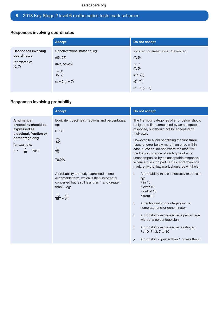## 8 2013 Key Stage 2 level 6 mathematics tests mark schemes

## Responses involving coordinates

|                                                                     | <b>Accept</b>                                                                                       | Do not accept                                                                                                   |
|---------------------------------------------------------------------|-----------------------------------------------------------------------------------------------------|-----------------------------------------------------------------------------------------------------------------|
| <b>Responses involving</b><br>coordinates<br>for example:<br>(5, 7) | Unconventional notation, eg:<br>(05, 07)<br>(five, seven)<br>$x \, y$<br>(5, 7)<br>$(x = 5, y = 7)$ | Incorrect or ambiguous notation, eg:<br>(7, 5)<br>y x<br>(7, 5)<br>(5x, 7y)<br>$(5^x, 7^y)$<br>$(x - 5, y - 7)$ |

### Responses involving probability

|                                                                                | <b>Accept</b>                                                                                                                                                                               | Do not accept                                                                                                                                                                                                                                                                                                                                                                                       |
|--------------------------------------------------------------------------------|---------------------------------------------------------------------------------------------------------------------------------------------------------------------------------------------|-----------------------------------------------------------------------------------------------------------------------------------------------------------------------------------------------------------------------------------------------------------------------------------------------------------------------------------------------------------------------------------------------------|
| A numerical<br>probability should be<br>expressed as<br>a decimal, fraction or | Equivalent decimals, fractions and percentages,<br>eg:<br>0.700                                                                                                                             | The first four categories of error below should<br>be ignored if accompanied by an acceptable<br>response, but should not be accepted on<br>their own.                                                                                                                                                                                                                                              |
| percentage only<br>for example:<br>$\frac{7}{10}$<br>70%<br>0.7                | $\frac{70}{100}$<br>$\frac{35}{50}$<br>70.0%                                                                                                                                                | However, to avoid penalising the first three<br>types of error below more than once within<br>each question, do not award the mark for<br>the first occurrence of each type of error<br>unaccompanied by an acceptable response.<br>Where a question part carries more than one<br>mark, only the final mark should be withheld.                                                                    |
|                                                                                | A probability correctly expressed in one<br>acceptable form, which is then incorrectly<br>converted but is still less than 1 and greater<br>than 0, eg:<br>$\frac{70}{100} = \frac{18}{25}$ | A probability that is incorrectly expressed,<br>и<br>eg:<br>7 in 10<br>7 over 10<br>7 out of 10<br>7 from 10<br>A fraction with non-integers in the<br>I.<br>numerator and/or denominator.<br>Ţ<br>A probability expressed as a percentage<br>without a percentage sign.<br>A probability expressed as a ratio, eg:<br>I.<br>7:10, 7:3, 7 to 10<br>A probability greater than 1 or less than 0<br>X |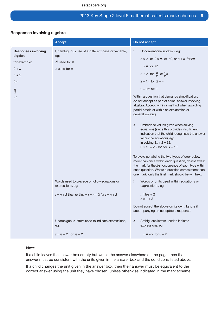#### Responses involving algebra

|                                                                                                             | <b>Accept</b>                                                                                                                 | Do not accept                                                                                                                                                                                                                                                                                                                                                                                                                                                                                                                                                                                                                                                                                                                                                                                                                                                                                                                                                                     |  |
|-------------------------------------------------------------------------------------------------------------|-------------------------------------------------------------------------------------------------------------------------------|-----------------------------------------------------------------------------------------------------------------------------------------------------------------------------------------------------------------------------------------------------------------------------------------------------------------------------------------------------------------------------------------------------------------------------------------------------------------------------------------------------------------------------------------------------------------------------------------------------------------------------------------------------------------------------------------------------------------------------------------------------------------------------------------------------------------------------------------------------------------------------------------------------------------------------------------------------------------------------------|--|
| <b>Responses involving</b><br>algebra<br>for example:<br>$2 + n$<br>$n + 2$<br>2n<br>$\frac{n}{2}$<br>$n^2$ | Unambiguous use of a different case or variable,<br>eg:<br>$N$ used for $n$<br>$x$ used for $n$                               | Unconventional notation, eg:<br>и<br>$n \times 2$ , or $2 \times n$ , or $n2$ , or $n + n$ for $2n$<br>$n \times n$ for $n^2$<br>$n \div 2$ , for $\frac{n}{2}$ or $\frac{1}{2}n$<br>$2 + 1n$ for $2 + n$<br>$2 + 0n$ for 2<br>Within a question that demands simplification,<br>do not accept as part of a final answer involving<br>algebra. Accept within a method when awarding<br>partial credit, or within an explanation or<br>general working.<br>Embedded values given when solving<br>X<br>equations (since this provides insufficient<br>indication that the child recognises the answer<br>within the equation), eg:<br>in solving $3x + 2 = 32$ ,<br>$3 \times 10 + 2 = 32$ for $x = 10$<br>To avoid penalising the two types of error below<br>more than once within each question, do not award<br>the mark for the first occurrence of each type within<br>each question. Where a question carries more than<br>one mark, only the final mark should be withheld. |  |
|                                                                                                             | Words used to precede or follow equations or<br>expressions, eg:<br>$t = n + 2$ tiles, or tiles = $t = n + 2$ for $t = n + 2$ | Words or units used within equations or<br>÷.<br>expressions, eg:<br>$n$ tiles + 2<br>$n \text{cm} + 2$<br>Do not accept the above on its own. Ignore if<br>accompanying an acceptable response.                                                                                                                                                                                                                                                                                                                                                                                                                                                                                                                                                                                                                                                                                                                                                                                  |  |
|                                                                                                             | Unambiguous letters used to indicate expressions,<br>eg:                                                                      | Ambiguous letters used to indicate<br>X<br>expressions, eg:                                                                                                                                                                                                                                                                                                                                                                                                                                                                                                                                                                                                                                                                                                                                                                                                                                                                                                                       |  |
|                                                                                                             | $t = n + 2$ for $n + 2$                                                                                                       | $n = n + 2$ for $n + 2$                                                                                                                                                                                                                                                                                                                                                                                                                                                                                                                                                                                                                                                                                                                                                                                                                                                                                                                                                           |  |

#### Note

If a child leaves the answer box empty but writes the answer elsewhere on the page, then that answer must be consistent with the units given in the answer box and the conditions listed above.

If a child changes the unit given in the answer box, then their answer must be equivalent to the correct answer using the unit they have chosen, unless otherwise indicated in the mark scheme.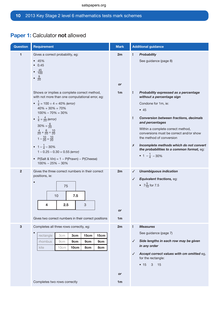| <b>Question</b> | <b>Requirement</b>                                                                                                                                                                                                                                                                                                                                                              | <b>Mark</b>          | <b>Additional guidance</b>                                                                                                                                                                                                                                                                                                                                                               |
|-----------------|---------------------------------------------------------------------------------------------------------------------------------------------------------------------------------------------------------------------------------------------------------------------------------------------------------------------------------------------------------------------------------|----------------------|------------------------------------------------------------------------------------------------------------------------------------------------------------------------------------------------------------------------------------------------------------------------------------------------------------------------------------------------------------------------------------------|
| 1               | Gives a correct probability, eg:<br>• 45%<br>0.45<br>$\bullet \ \frac{45}{100}$<br>$\cdot \frac{9}{20}$                                                                                                                                                                                                                                                                         | 2m                   | <b>Probability</b><br>ı<br>See guidance (page 8)                                                                                                                                                                                                                                                                                                                                         |
|                 | Shows or implies a complete correct method,<br>with not more than one computational error, eg:<br>• $\frac{1}{4}$ = 100 ÷ 4 = 40% (error)<br>$40\% + 30\% = 70\%$<br>$100\% - 70\% = 30\%$<br>• $\frac{1}{4} = \frac{4}{20}$ (error)<br>$30\% = \frac{6}{20}$<br>$\frac{4}{20} + \frac{6}{20} = \frac{10}{20}$<br>$1 - \frac{10}{20} = \frac{10}{20}$<br>• $1-\frac{1}{4}-30\%$ | or<br>1 <sub>m</sub> | Probability expressed as a percentage<br>и<br>without a percentage sign<br>Condone for 1m, ie:<br>• 45<br><b>Conversion between fractions, decimals</b><br>и<br>and percentages<br>Within a complete correct method,<br>conversions must be correct and/or show<br>the method of conversion<br>Incomplete methods which do not convert<br>X<br>the probabilities to a common format, eg: |
|                 | $1 - 0.25 - 0.30 = 0.55$ (error)<br>• $P(Salt & Vin) = 1 - P(Prawn) - P(Cheese)$<br>$100\% - 25\% - 30\%$                                                                                                                                                                                                                                                                       |                      | • 1 $-\frac{1}{4}$ – 30%                                                                                                                                                                                                                                                                                                                                                                 |
| $\overline{2}$  | Gives the three correct numbers in their correct<br>positions, ie:<br>75<br>7.5<br>10<br>3<br>4<br>2.5                                                                                                                                                                                                                                                                          | 2m<br>or             | <b>Unambiguous indication</b><br>✓<br>Equivalent fractions, eg:<br>$\checkmark$<br>• $7\frac{5}{10}$ for 7.5                                                                                                                                                                                                                                                                             |
|                 | Gives two correct numbers in their correct positions                                                                                                                                                                                                                                                                                                                            | 1 <sub>m</sub>       |                                                                                                                                                                                                                                                                                                                                                                                          |
| $\mathbf{3}$    | Completes all three rows correctly, eg:<br>rectangle<br>15cm<br>15cm<br>3cm<br>3cm<br>rhombus<br>9cm<br>9cm<br>9cm<br>9cm<br>kite<br>10cm<br>8cm<br>8cm<br>10cm                                                                                                                                                                                                                 | 2m                   | Ţ<br><b>Measures</b><br>See guidance (page 7)<br>Side lengths in each row may be given<br>✓<br>in any order<br>Accept correct values with cm omitted eg,<br>✓<br>for the rectangle:<br>• 15<br>$3$ 15                                                                                                                                                                                    |
|                 |                                                                                                                                                                                                                                                                                                                                                                                 | or                   |                                                                                                                                                                                                                                                                                                                                                                                          |
|                 | Completes two rows correctly                                                                                                                                                                                                                                                                                                                                                    | 1 <sub>m</sub>       |                                                                                                                                                                                                                                                                                                                                                                                          |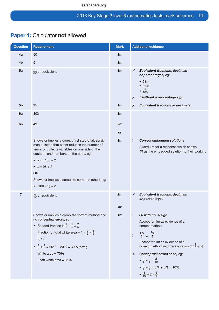| Question       | <b>Requirement</b>                                                                                                                                                                                                                                                                                                                                      | <b>Mark</b>    | <b>Additional guidance</b>                                                                                                                                                                                                                                                                                                                                                                                                              |
|----------------|---------------------------------------------------------------------------------------------------------------------------------------------------------------------------------------------------------------------------------------------------------------------------------------------------------------------------------------------------------|----------------|-----------------------------------------------------------------------------------------------------------------------------------------------------------------------------------------------------------------------------------------------------------------------------------------------------------------------------------------------------------------------------------------------------------------------------------------|
| 4a             | 50                                                                                                                                                                                                                                                                                                                                                      | 1 <sub>m</sub> |                                                                                                                                                                                                                                                                                                                                                                                                                                         |
| 4 <sub>b</sub> | 5                                                                                                                                                                                                                                                                                                                                                       | 1 <sub>m</sub> |                                                                                                                                                                                                                                                                                                                                                                                                                                         |
| 5a             | $\frac{1}{20}$ or equivalent                                                                                                                                                                                                                                                                                                                            | 1 <sub>m</sub> | <b>Equivalent fractions, decimals</b><br>✓<br>or percentages, eg:<br>•5%<br>0.05<br>• $\frac{5}{100}$<br>5 without a percentage sign<br>X                                                                                                                                                                                                                                                                                               |
| 5 <sub>b</sub> | 95                                                                                                                                                                                                                                                                                                                                                      | 1 <sub>m</sub> | <b>Equivalent fractions or decimals</b><br>X                                                                                                                                                                                                                                                                                                                                                                                            |
| 6a             | 302                                                                                                                                                                                                                                                                                                                                                     | 1 <sub>m</sub> |                                                                                                                                                                                                                                                                                                                                                                                                                                         |
| 6b             | 49                                                                                                                                                                                                                                                                                                                                                      | 2m             |                                                                                                                                                                                                                                                                                                                                                                                                                                         |
|                |                                                                                                                                                                                                                                                                                                                                                         | or             |                                                                                                                                                                                                                                                                                                                                                                                                                                         |
|                | Shows or implies a correct first step of algebraic<br>manipulation that either reduces the number of<br>terms or collects variables on one side of the<br>equation and numbers on the other, eg:<br>• $2s = 100 - 2$<br>• $s = 98 \div 2$<br><b>OR</b><br>Shows or implies a complete correct method, eg:<br>• $(100 - 2) \div 2$                       | 1 <sub>m</sub> | <b>Correct embedded solutions</b><br>I.<br>Award 1m for a response which shows<br>49 as the embedded solution to their working                                                                                                                                                                                                                                                                                                          |
| $\overline{7}$ | $\frac{3}{10}$ or equivalent                                                                                                                                                                                                                                                                                                                            | 2m             | <b>Equivalent fractions, decimals</b><br>✓<br>or percentages                                                                                                                                                                                                                                                                                                                                                                            |
|                |                                                                                                                                                                                                                                                                                                                                                         | <u>or</u>      |                                                                                                                                                                                                                                                                                                                                                                                                                                         |
|                | Shows or implies a complete correct method and<br>no conceptual errors, eg:<br>• Shaded fraction is $\frac{1}{5} + \frac{1}{5} = \frac{2}{5}$<br>Fraction of total white area = $1 - \frac{2}{5} = \frac{3}{5}$<br>$\frac{3}{5} \div 2$<br>• $\frac{1}{5} + \frac{1}{5} = 20\% + 20\% = 30\%$ (error)<br>White area $= 70\%$<br>Each white area = $35%$ | 1 <sub>m</sub> | 30 with no % sign<br>I.<br>Accept for 1m as evidence of a<br>correct method<br>$\frac{1.5}{5}$ or $\frac{1\frac{1}{2}}{5}$<br>$\pmb{\cdot}$<br>Accept for 1m as evidence of a<br>correct method (incorrect notation for $\frac{3}{5} \div 2$ )<br>Conceptual errors seen, eg:<br>X<br>$\bullet$ $\frac{1}{5} + \frac{1}{5} = \frac{2}{10}$<br>• $\frac{1}{5} + \frac{1}{5} = 5\% + 5\% = 10\%$<br>• $\frac{6}{10} \div 2 = \frac{3}{5}$ |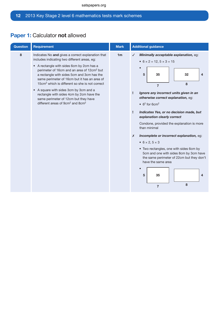| <b>Question</b> | <b>Requirement</b>                                                                                                                                                                                                                                                                                                                                                                                                                                                                                                                                             | <b>Mark</b>    | <b>Additional guidance</b>                                                                                                                                                                                                                                                                                                                                                                                                                                                                                                                                                                                                                                                                                                     |
|-----------------|----------------------------------------------------------------------------------------------------------------------------------------------------------------------------------------------------------------------------------------------------------------------------------------------------------------------------------------------------------------------------------------------------------------------------------------------------------------------------------------------------------------------------------------------------------------|----------------|--------------------------------------------------------------------------------------------------------------------------------------------------------------------------------------------------------------------------------------------------------------------------------------------------------------------------------------------------------------------------------------------------------------------------------------------------------------------------------------------------------------------------------------------------------------------------------------------------------------------------------------------------------------------------------------------------------------------------------|
| 8               | Indicates No and gives a correct explanation that<br>includes indicating two different areas, eg:<br>• A rectangle with sides 6cm by 2cm has a<br>perimeter of 16cm and an area of 12cm <sup>2</sup> but<br>a rectangle with sides 5cm and 3cm has the<br>same perimeter of 16cm but it has an area of<br>15cm <sup>2</sup> which is different so she is not correct<br>• A square with sides 3cm by 3cm and a<br>rectangle with sides 4cm by 2cm have the<br>same perimeter of 12cm but they have<br>different areas of 9cm <sup>2</sup> and 8cm <sup>2</sup> | 1 <sub>m</sub> | Minimally acceptable explanation, eg:<br>• $6 \times 2 = 12, 5 \times 3 = 15$<br>5<br>35<br>32<br>$\overline{4}$<br>8<br>$\overline{7}$<br>Ignore any incorrect units given in an<br>и<br>otherwise correct explanation, eg:<br>$\bullet$ 6 <sup>2</sup> for 6cm <sup>2</sup><br>Indicates Yes, or no decision made, but<br>и<br>explanation clearly correct<br>Condone, provided the explanation is more<br>than minimal<br>Incomplete or incorrect explanation, eg:<br>X<br>$\bullet$ 6 $\times$ 2, 5 $\times$ 3<br>• Two rectangles, one with sides 6cm by<br>5cm and one with sides 8cm by 3cm have<br>the same perimeter of 22cm but they don't<br>have the same area<br>35<br>$\overline{4}$<br>5<br>8<br>$\overline{7}$ |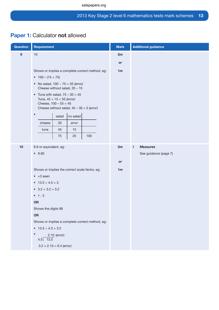| <b>Question</b>  | Requirement                                                                                                                                 |                                                 | <b>Mark</b>    | <b>Additional guidance</b> |
|------------------|---------------------------------------------------------------------------------------------------------------------------------------------|-------------------------------------------------|----------------|----------------------------|
| $\boldsymbol{9}$ | 10                                                                                                                                          |                                                 | 2m             |                            |
|                  |                                                                                                                                             |                                                 | or             |                            |
|                  |                                                                                                                                             | Shows or implies a complete correct method, eg: | 1 <sub>m</sub> |                            |
|                  | • $100 - (15 + 75)$                                                                                                                         |                                                 |                |                            |
|                  | • No salad, $100 - 75 = 35$ (error)<br>Cheese without salad, 35 - 15                                                                        |                                                 |                |                            |
|                  | • Tuna with salad, $75 - 30 = 45$<br>Tuna, $45 + 15 = 55$ (error)<br>Cheese, $100 - 55 = 45$<br>Cheese without salad, $45 - 30 = 5$ (error) |                                                 |                |                            |
|                  | $\bullet$<br>salad                                                                                                                          | no salad                                        |                |                            |
|                  | 30<br>cheese                                                                                                                                | error                                           |                |                            |
|                  | 45<br>tuna                                                                                                                                  | 15                                              |                |                            |
|                  | 75                                                                                                                                          | 100<br>25                                       |                |                            |
| 10               | 9.6 or equivalent, eg:                                                                                                                      |                                                 | 2m             | I<br><b>Measures</b>       |
|                  | • 9.60                                                                                                                                      |                                                 |                | See guidance (page 7)      |
|                  |                                                                                                                                             |                                                 | or             |                            |
|                  | Shows or implies the correct scale factor, eg:                                                                                              |                                                 | 1 <sub>m</sub> |                            |
|                  | $\bullet$ $\times 3$ seen                                                                                                                   |                                                 |                |                            |
|                  | • $13.5 \div 4.5 = 3$                                                                                                                       |                                                 |                |                            |
|                  | $\bullet$ 3.2 + 3.2 + 3.2                                                                                                                   |                                                 |                |                            |
|                  | • 1:3                                                                                                                                       |                                                 |                |                            |
|                  | <b>OR</b>                                                                                                                                   |                                                 |                |                            |
|                  | Shows the digits 96                                                                                                                         |                                                 |                |                            |
|                  | <b>OR</b>                                                                                                                                   |                                                 |                |                            |
|                  | Shows or implies a complete correct method, eg:                                                                                             |                                                 |                |                            |
|                  | • $13.5 \div 4.5 \times 3.2$                                                                                                                |                                                 |                |                            |
|                  | $2.10$ (error)<br>$4.5$ 13.5                                                                                                                |                                                 |                |                            |
|                  | $3.2 \times 2.10 = 6.4$ (error)                                                                                                             |                                                 |                |                            |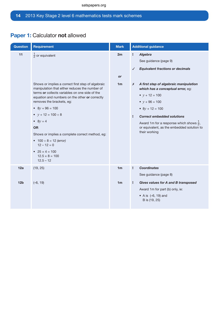| <b>Question</b> | <b>Requirement</b>                                                                                                                                                                                                                                                                                                                                                                                                                                                                                                  | <b>Mark</b>                |                    | <b>Additional guidance</b>                                                                                                                                                                                                                                                                                                                                                         |
|-----------------|---------------------------------------------------------------------------------------------------------------------------------------------------------------------------------------------------------------------------------------------------------------------------------------------------------------------------------------------------------------------------------------------------------------------------------------------------------------------------------------------------------------------|----------------------------|--------------------|------------------------------------------------------------------------------------------------------------------------------------------------------------------------------------------------------------------------------------------------------------------------------------------------------------------------------------------------------------------------------------|
| 11              | $\frac{1}{2}$ or equivalent<br>Shows or implies a correct first step of algebraic<br>manipulation that either reduces the number of<br>terms or collects variables on one side of the<br>equation and numbers on the other or correctly<br>removes the brackets, eg:<br>• $8y + 96 = 100$<br>• $y + 12 = 100 \div 8$<br>• $8y = 4$<br><b>OR</b><br>Shows or implies a complete correct method, eg:<br>• $100 \div 8 = 12$ (error)<br>$12 - 12 = 0$<br>• $25 \times 4 = 100$<br>$12.5 \times 8 = 100$<br>$12.5 - 12$ | 2m<br>or<br>1 <sub>m</sub> | I.<br>✓<br>X<br>ī. | Algebra<br>See guidance (page 9)<br><b>Equivalent fractions or decimals</b><br>A first step of algebraic manipulation<br>which has a conceptual error, eg:<br>• $y + 12 = 100$<br>• $y + 96 = 100$<br>• $8y + 12 = 100$<br><b>Correct embedded solutions</b><br>Award 1m for a response which shows $\frac{1}{2}$ ,<br>or equivalent, as the embedded solution to<br>their working |
| 12a             | (19, 25)                                                                                                                                                                                                                                                                                                                                                                                                                                                                                                            | 1 <sub>m</sub>             | Ī.                 | <b>Coordinates</b><br>See guidance (page 8)                                                                                                                                                                                                                                                                                                                                        |
| 12 <sub>b</sub> | $(-6, 19)$                                                                                                                                                                                                                                                                                                                                                                                                                                                                                                          | 1 <sub>m</sub>             | I.                 | <b>Gives values for A and B transposed</b><br>Award 1m for part (b) only, ie:<br>• A is (-6, 19) and<br>B is (19, 25)                                                                                                                                                                                                                                                              |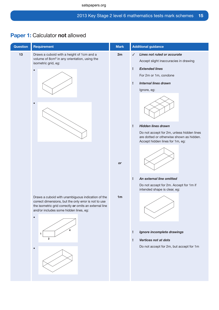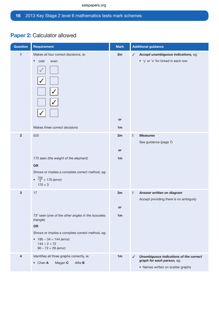| Question                | Requirement                                                                                                                                                                                                        | <b>Mark</b>                | <b>Additional guidance</b>                                                                                                |
|-------------------------|--------------------------------------------------------------------------------------------------------------------------------------------------------------------------------------------------------------------|----------------------------|---------------------------------------------------------------------------------------------------------------------------|
| $\mathbf{1}$            | Makes all four correct decisions, ie:<br>odd<br>$\bullet$<br>even<br>V<br>Makes three correct decisions                                                                                                            | 2m<br>or<br>1 <sub>m</sub> | Accept unambiguous indications, eg:<br>$\checkmark$<br>• 'y' or 'x' for ticked in each row                                |
| $\overline{2}$          | 525<br>175 seen (the weight of the elephant)<br><b>OR</b><br>Shows or implies a complete correct method, eg:<br>• $\frac{700}{4}$ = 170 (error)<br>$170 \times 3$                                                  | 2m<br>or<br>1 <sub>m</sub> | Ţ<br><b>Measures</b><br>See guidance (page 7)                                                                             |
| $\mathbf{3}$            | 17<br>73° seen (one of the other angles in the isosceles<br>triangle)<br><b>OR</b><br>Shows or implies a complete correct method, eg:<br>• $180 - 34 = 144$ (error)<br>$144 \div 2 = 72$<br>$90 - 72 = 28$ (error) | 2m<br>or<br>1 <sub>m</sub> | Ţ<br>Answer written on diagram<br>Accept providing there is no ambiguity                                                  |
| $\overline{\mathbf{4}}$ | Identifies all three graphs correctly, ie:<br>$\bullet$ Chen A<br>Megan C<br>Alfie <b>B</b>                                                                                                                        | 1 <sub>m</sub>             | Unambiguous indications of the correct<br>$\checkmark$<br>graph for each person, eg:<br>• Names written on scatter graphs |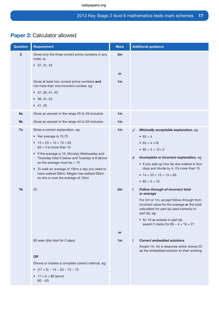| <b>Question</b> | <b>Requirement</b>                                                                                                                                                                                                                                                                                                                                                                                 | <b>Mark</b>                       | <b>Additional guidance</b>                                                                                                                                                                                                                                                                                                                                                                                                                                                                                                                                                                                                    |
|-----------------|----------------------------------------------------------------------------------------------------------------------------------------------------------------------------------------------------------------------------------------------------------------------------------------------------------------------------------------------------------------------------------------------------|-----------------------------------|-------------------------------------------------------------------------------------------------------------------------------------------------------------------------------------------------------------------------------------------------------------------------------------------------------------------------------------------------------------------------------------------------------------------------------------------------------------------------------------------------------------------------------------------------------------------------------------------------------------------------------|
| $5\phantom{.0}$ | Gives only the three correct prime numbers in any<br>order, ie:<br>• 37, 41, 43<br>Gives at least two correct prime numbers and<br>not more than one incorrect number, eg:<br>• 37, 39, 41, 43<br>$\bullet$ 39, 41, 43<br>• 41,43                                                                                                                                                                  | 2m<br><b>or</b><br>1 <sub>m</sub> |                                                                                                                                                                                                                                                                                                                                                                                                                                                                                                                                                                                                                               |
| 6a              | Gives an answer in the range 25 to 29 inclusive                                                                                                                                                                                                                                                                                                                                                    | 1 <sub>m</sub>                    |                                                                                                                                                                                                                                                                                                                                                                                                                                                                                                                                                                                                                               |
| 6 <sub>b</sub>  | Gives an answer in the range 44 to 52 inclusive                                                                                                                                                                                                                                                                                                                                                    | 1 <sub>m</sub>                    |                                                                                                                                                                                                                                                                                                                                                                                                                                                                                                                                                                                                                               |
| 7a<br>7b        | Gives a correct explanation, eg:<br>• Her average is 15.75<br>• $14 + 23 + 13 + 13 = 63$<br>$63 \div 4$ is more than 15<br>• If the average is 15, Monday Wednesday and<br>Thursday total 5 below and Tuesday is 8 above<br>so the average must be $> 15$<br>• To walk an average of 15km a day you need to<br>have walked 60km. Megan has walked 63km<br>so she is over the average of 15km<br>22 | 1 <sub>m</sub><br>2m              | Minimally acceptable explanation, eg:<br>✓<br>• $63 \div 4$<br>• $63 \div 4 = 16$<br>• $63 \div 4 = 15 \text{ r } 3$<br>Incomplete or incorrect explanation, eg:<br>X<br>• If you add up how far she walked in four<br>days and divide by 4, it's more than 15<br>• $14 + 23 + 13 + 13 = 63$<br>• $63 \div 4 = 15$<br>Follow-through of incorrect total<br>I.<br>or average<br>For 2m or 1m, accept follow-through from<br>incorrect value for the average or the total<br>calculated for part (a) used correctly in<br>part (b), eg:<br>$\bullet$ for 16 as answer in part (a),<br>award 2 marks for $85 - 4 \times 16 = 21$ |
|                 | 85 seen (the total for 5 days)<br><b>OR</b><br>Shows or implies a complete correct method, eg:<br>• $(17 \times 5) - 14 - 23 - 13 - 13$<br>• $17 \times 5 = 80$ (error)<br>$80 - 63$                                                                                                                                                                                                               | or<br>1m                          | <b>Correct embedded solutions</b><br>и<br>Award 1m, for a response which shows 22<br>as the embedded solution to their working                                                                                                                                                                                                                                                                                                                                                                                                                                                                                                |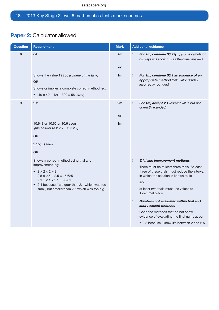| <b>Question</b> | <b>Requirement</b>                                                                                                                                                                                                                                                                                                                                                                                              | <b>Mark</b>                | <b>Additional guidance</b>                                                                                                                                                                                                                                                                                                                                                                                                                                                                                                                 |
|-----------------|-----------------------------------------------------------------------------------------------------------------------------------------------------------------------------------------------------------------------------------------------------------------------------------------------------------------------------------------------------------------------------------------------------------------|----------------------------|--------------------------------------------------------------------------------------------------------------------------------------------------------------------------------------------------------------------------------------------------------------------------------------------------------------------------------------------------------------------------------------------------------------------------------------------------------------------------------------------------------------------------------------------|
| 8               | 64<br>Shows the value 19 200 (volume of the tank)<br><b>OR</b><br>Shows or implies a complete correct method, eg:<br>• $(40 \times 40 \times 12) \div 300 = 58$ (error)                                                                                                                                                                                                                                         | 2m<br>or<br>1 <sub>m</sub> | I<br>For 2m, condone 63.99() (some calculator<br>displays will show this as their final answer)<br>For 1m, condone 63.9 as evidence of an<br>и<br>appropriate method (calculator display<br>incorrectly rounded)                                                                                                                                                                                                                                                                                                                           |
| 9               | 2.2<br>10.648 or 10.65 or 10.6 seen<br>(the answer to $2.2 \times 2.2 \times 2.2$ )<br><b>OR</b><br>$2.15()$ seen<br><b>OR</b><br>Shows a correct method using trial and<br>improvement, eg:<br>• $2 \times 2 \times 2 = 8$<br>$2.5 \times 2.5 \times 2.5 = 15.625$<br>$2.1 \times 2.1 \times 2.1 = 9.261$<br>• 2.4 because it's bigger than 2.1 which was too<br>small, but smaller than 2.5 which was too big | 2m<br>or<br>1 <sub>m</sub> | ı<br>For 1m, accept 2.1 (correct value but not<br>correctly rounded)<br>I<br><b>Trial and improvement methods</b><br>There must be at least three trials. At least<br>three of these trials must reduce the interval<br>in which the solution is known to lie<br>and<br>at least two trials must use values to<br>1 decimal place<br>Ţ<br>Numbers not evaluated within trial and<br>improvement methods<br>Condone methods that do not show<br>evidence of evaluating the final number, eg:<br>• 2.3 because I know it's between 2 and 2.5 |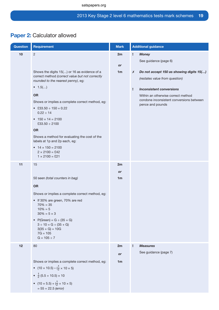| <b>Question</b> | <b>Requirement</b>                                                                                                                                                                                                                                                                                                                                                                                                                                                                                              | <b>Mark</b>                | <b>Additional guidance</b>                                                                                                                                                                                                                                                  |
|-----------------|-----------------------------------------------------------------------------------------------------------------------------------------------------------------------------------------------------------------------------------------------------------------------------------------------------------------------------------------------------------------------------------------------------------------------------------------------------------------------------------------------------------------|----------------------------|-----------------------------------------------------------------------------------------------------------------------------------------------------------------------------------------------------------------------------------------------------------------------------|
| 10              | $\sqrt{2}$<br>Shows the digits 15() or 16 as evidence of a<br>correct method (correct value but not correctly<br>rounded to the nearest penny), eg:<br>• $1.5()$<br><b>OR</b><br>Shows or implies a complete correct method, eg:<br>• £33.50 $\div$ 150 = 0.22<br>$0.22 \div 14$<br>• $150 \times 14 = 2100$<br>£33.50 $\div$ 2100<br><b>OR</b><br>Shows a method for evaluating the cost of the<br>labels at 1p and 2p each, eg:<br>• $14 \times 150 = 2100$<br>$2 \times 2100 = £42$<br>$1 \times 2100 = £21$ | 2m<br>or<br>1 <sub>m</sub> | I<br><b>Money</b><br>See guidance (page 6)<br>Do not accept 150 as showing digits 15()<br>X<br>(restates value from question)<br><b>Inconsistent conversions</b><br>ı<br>Within an otherwise correct method<br>condone inconsistent conversions between<br>pence and pounds |
| 11              | 15<br>50 seen (total counters in bag)<br><b>OR</b><br>Shows or implies a complete correct method, eg:<br>• If 30% are green, 70% are red<br>$70\% = 35$<br>$10% = 5$<br>$30\% = 5 \times 3$<br>• $P(Green) = G ÷ (35 + G)$<br>$3 \div 10 = G \div (35 + G)$<br>$3(35 + G) = 10G$<br>$7G = 105$<br>$G = 105 \div 7$                                                                                                                                                                                              | 2m<br>or<br>1 <sub>m</sub> |                                                                                                                                                                                                                                                                             |
| 12              | 80<br>Shows or implies a complete correct method, eg:<br>• $(10 \times 10.5) - (\frac{1}{2} \times 10 \times 5)$<br>• $\frac{1}{2}$ (5.5 + 10.5) × 10<br>• $(10 \times 5.5) + (\frac{1}{2} \times 10 \times 5)$<br>$= 55 + 22.5$ (error)                                                                                                                                                                                                                                                                        | 2m<br>or<br>1 <sub>m</sub> | <b>Measures</b><br>и<br>See guidance (page 7)                                                                                                                                                                                                                               |